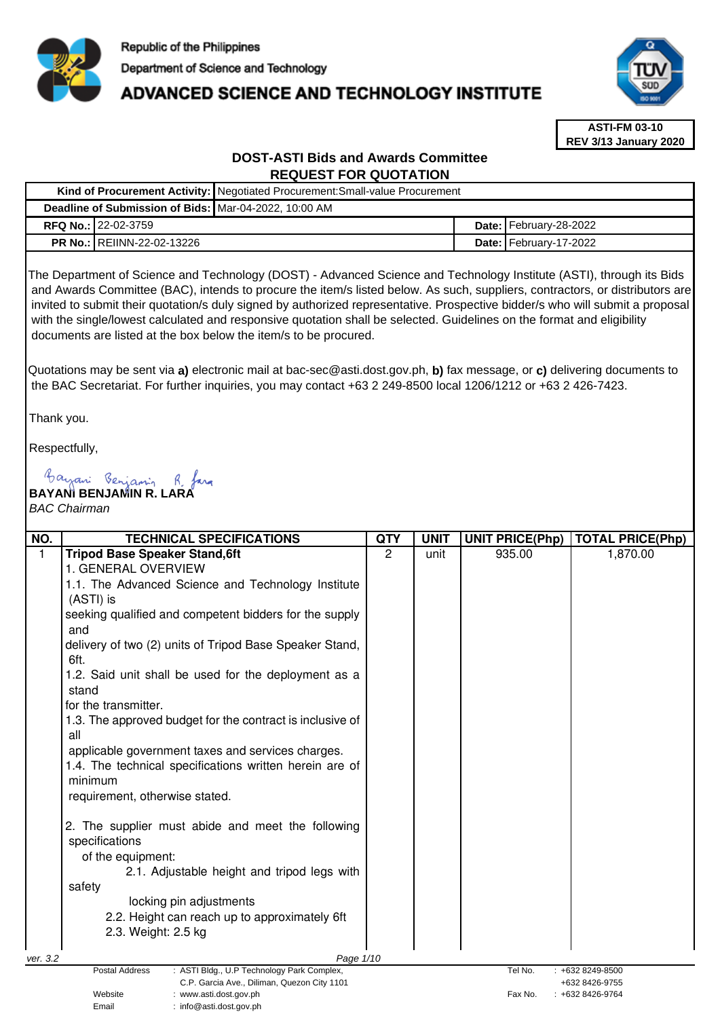

# **ADVANCED SCIENCE AND TECHNOLOGY INSTITUTE**



**ASTI-FM 03-10 REV 3/13 January 2020**

## **DOST-ASTI Bids and Awards Committee REQUEST FOR QUOTATION**

|  |                                   | Kind of Procurement Activity:   Negotiated Procurement: Small-value Procurement |                               |
|--|-----------------------------------|---------------------------------------------------------------------------------|-------------------------------|
|  |                                   | Deadline of Submission of Bids: Mar-04-2022, 10:00 AM                           |                               |
|  | <b>RFQ No.: 22-02-3759</b>        |                                                                                 | <b>Date: February-28-2022</b> |
|  | <b>PR No.: REIINN-22-02-13226</b> |                                                                                 | <b>Date: February-17-2022</b> |

The Department of Science and Technology (DOST) - Advanced Science and Technology Institute (ASTI), through its Bids and Awards Committee (BAC), intends to procure the item/s listed below. As such, suppliers, contractors, or distributors are invited to submit their quotation/s duly signed by authorized representative. Prospective bidder/s who will submit a proposal with the single/lowest calculated and responsive quotation shall be selected. Guidelines on the format and eligibility documents are listed at the box below the item/s to be procured.

Quotations may be sent via **a)** electronic mail at bac-sec@asti.dost.gov.ph, **b)** fax message, or **c)** delivering documents to the BAC Secretariat. For further inquiries, you may contact +63 2 249-8500 local 1206/1212 or +63 2 426-7423.

Thank you.

Respectfully,

**BAYANI BENJAMIN R. LARA** 

Email : info@asti.dost.gov.ph

### BAC Chairman

| NO.      | <b>TECHNICAL SPECIFICATIONS</b>                                                  | <b>QTY</b> | <b>UNIT</b> | <b>UNIT PRICE(Php)</b> | <b>TOTAL PRICE(Php)</b> |
|----------|----------------------------------------------------------------------------------|------------|-------------|------------------------|-------------------------|
| 1        | <b>Tripod Base Speaker Stand, 6ft</b>                                            | 2          | unit        | 935.00                 | 1,870.00                |
|          | 1. GENERAL OVERVIEW                                                              |            |             |                        |                         |
|          | 1.1. The Advanced Science and Technology Institute                               |            |             |                        |                         |
|          | (ASTI) is                                                                        |            |             |                        |                         |
|          | seeking qualified and competent bidders for the supply                           |            |             |                        |                         |
|          | and                                                                              |            |             |                        |                         |
|          | delivery of two (2) units of Tripod Base Speaker Stand,<br>6ft.                  |            |             |                        |                         |
|          | 1.2. Said unit shall be used for the deployment as a                             |            |             |                        |                         |
|          | stand                                                                            |            |             |                        |                         |
|          | for the transmitter.                                                             |            |             |                        |                         |
|          | 1.3. The approved budget for the contract is inclusive of<br>all                 |            |             |                        |                         |
|          | applicable government taxes and services charges.                                |            |             |                        |                         |
|          | 1.4. The technical specifications written herein are of                          |            |             |                        |                         |
|          | minimum                                                                          |            |             |                        |                         |
|          | requirement, otherwise stated.                                                   |            |             |                        |                         |
|          |                                                                                  |            |             |                        |                         |
|          | 2. The supplier must abide and meet the following                                |            |             |                        |                         |
|          | specifications                                                                   |            |             |                        |                         |
|          | of the equipment:                                                                |            |             |                        |                         |
|          | 2.1. Adjustable height and tripod legs with                                      |            |             |                        |                         |
|          | safety                                                                           |            |             |                        |                         |
|          | locking pin adjustments                                                          |            |             |                        |                         |
|          | 2.2. Height can reach up to approximately 6ft                                    |            |             |                        |                         |
|          | 2.3. Weight: 2.5 kg                                                              |            |             |                        |                         |
|          |                                                                                  |            |             |                        |                         |
| ver. 3.2 | Page 1/10<br><b>Postal Address</b><br>: ASTI Bldg., U.P Technology Park Complex, |            |             | Tel No.                | : +632 8249-8500        |
|          | C.P. Garcia Ave., Diliman, Quezon City 1101                                      |            |             |                        | +632 8426-9755          |
|          | Website<br>:www.asti.dost.gov.ph                                                 |            |             | Fax No.                | $: +6328426 - 9764$     |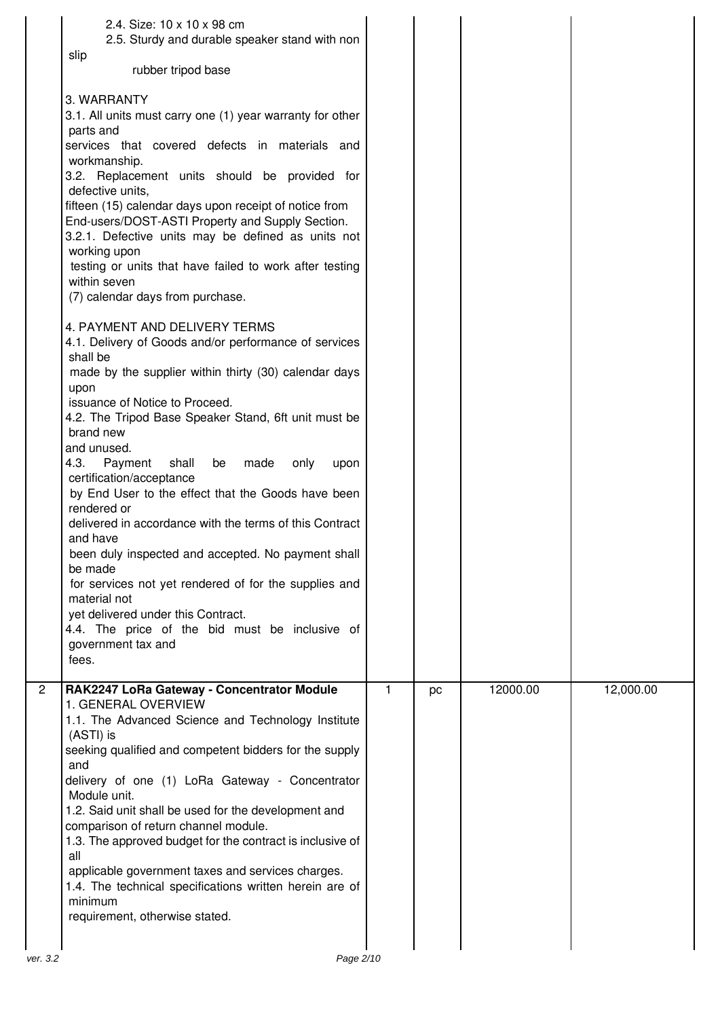|              | 2.4. Size: 10 x 10 x 98 cm<br>2.5. Sturdy and durable speaker stand with non<br>slip<br>rubber tripod base<br>3. WARRANTY<br>3.1. All units must carry one (1) year warranty for other<br>parts and<br>services that covered defects in materials and<br>workmanship.<br>3.2. Replacement units should be provided for<br>defective units,<br>fifteen (15) calendar days upon receipt of notice from<br>End-users/DOST-ASTI Property and Supply Section.<br>3.2.1. Defective units may be defined as units not<br>working upon<br>testing or units that have failed to work after testing<br>within seven<br>(7) calendar days from purchase.<br>4. PAYMENT AND DELIVERY TERMS<br>4.1. Delivery of Goods and/or performance of services<br>shall be<br>made by the supplier within thirty (30) calendar days<br>upon<br>issuance of Notice to Proceed.<br>4.2. The Tripod Base Speaker Stand, 6ft unit must be<br>brand new<br>and unused.<br>4.3.<br>Payment<br>shall<br>be<br>made<br>only<br>upon<br>certification/acceptance<br>by End User to the effect that the Goods have been<br>rendered or<br>delivered in accordance with the terms of this Contract<br>and have<br>been duly inspected and accepted. No payment shall<br>be made<br>for services not yet rendered of for the supplies and<br>material not<br>yet delivered under this Contract.<br>4.4. The price of the bid must be inclusive of<br>government tax and |    |    |          |           |
|--------------|--------------------------------------------------------------------------------------------------------------------------------------------------------------------------------------------------------------------------------------------------------------------------------------------------------------------------------------------------------------------------------------------------------------------------------------------------------------------------------------------------------------------------------------------------------------------------------------------------------------------------------------------------------------------------------------------------------------------------------------------------------------------------------------------------------------------------------------------------------------------------------------------------------------------------------------------------------------------------------------------------------------------------------------------------------------------------------------------------------------------------------------------------------------------------------------------------------------------------------------------------------------------------------------------------------------------------------------------------------------------------------------------------------------------------------------|----|----|----------|-----------|
|              | fees.                                                                                                                                                                                                                                                                                                                                                                                                                                                                                                                                                                                                                                                                                                                                                                                                                                                                                                                                                                                                                                                                                                                                                                                                                                                                                                                                                                                                                                |    |    |          |           |
| $\mathbf{2}$ | RAK2247 LoRa Gateway - Concentrator Module<br>1. GENERAL OVERVIEW<br>1.1. The Advanced Science and Technology Institute<br>(ASTI) is<br>seeking qualified and competent bidders for the supply<br>and<br>delivery of one (1) LoRa Gateway - Concentrator<br>Module unit.<br>1.2. Said unit shall be used for the development and<br>comparison of return channel module.<br>1.3. The approved budget for the contract is inclusive of<br>all<br>applicable government taxes and services charges.<br>1.4. The technical specifications written herein are of<br>minimum<br>requirement, otherwise stated.                                                                                                                                                                                                                                                                                                                                                                                                                                                                                                                                                                                                                                                                                                                                                                                                                            | 1. | pc | 12000.00 | 12,000.00 |
| ver. 3.2     | Page 2/10                                                                                                                                                                                                                                                                                                                                                                                                                                                                                                                                                                                                                                                                                                                                                                                                                                                                                                                                                                                                                                                                                                                                                                                                                                                                                                                                                                                                                            |    |    |          |           |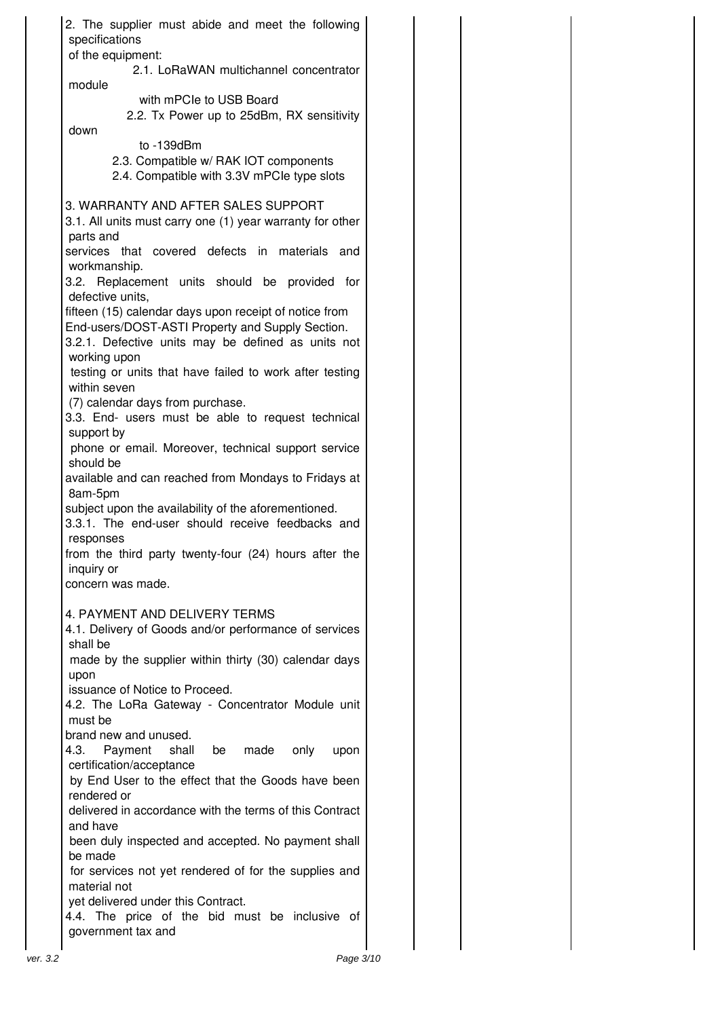| 2. The supplier must abide and meet the following<br>specifications                                                           |  |
|-------------------------------------------------------------------------------------------------------------------------------|--|
| of the equipment:                                                                                                             |  |
| 2.1. LoRaWAN multichannel concentrator<br>module                                                                              |  |
| with mPCIe to USB Board<br>2.2. Tx Power up to 25dBm, RX sensitivity                                                          |  |
| down<br>to $-139$ d $Bm$                                                                                                      |  |
| 2.3. Compatible w/ RAK IOT components<br>2.4. Compatible with 3.3V mPCle type slots                                           |  |
| 3. WARRANTY AND AFTER SALES SUPPORT<br>3.1. All units must carry one (1) year warranty for other<br>parts and                 |  |
| services that covered defects in materials<br>and<br>workmanship.                                                             |  |
| 3.2. Replacement units should be provided for<br>defective units,                                                             |  |
| fifteen (15) calendar days upon receipt of notice from<br>End-users/DOST-ASTI Property and Supply Section.                    |  |
| 3.2.1. Defective units may be defined as units not<br>working upon<br>testing or units that have failed to work after testing |  |
| within seven<br>(7) calendar days from purchase.                                                                              |  |
| 3.3. End- users must be able to request technical<br>support by                                                               |  |
| phone or email. Moreover, technical support service<br>should be                                                              |  |
| available and can reached from Mondays to Fridays at<br>8am-5pm                                                               |  |
| subject upon the availability of the aforementioned.<br>3.3.1. The end-user should receive feedbacks and<br>responses         |  |
| from the third party twenty-four (24) hours after the<br>inquiry or                                                           |  |
| concern was made.                                                                                                             |  |
| 4. PAYMENT AND DELIVERY TERMS<br>4.1. Delivery of Goods and/or performance of services                                        |  |
| shall be<br>made by the supplier within thirty (30) calendar days                                                             |  |
| upon<br>issuance of Notice to Proceed.                                                                                        |  |
| 4.2. The LoRa Gateway - Concentrator Module unit<br>must be                                                                   |  |
| brand new and unused.<br>4.3.<br>Payment<br>shall be<br>made<br>only<br>upon                                                  |  |
| certification/acceptance<br>by End User to the effect that the Goods have been                                                |  |
| rendered or<br>delivered in accordance with the terms of this Contract<br>and have                                            |  |
| been duly inspected and accepted. No payment shall<br>be made                                                                 |  |
| for services not yet rendered of for the supplies and<br>material not                                                         |  |
| yet delivered under this Contract.<br>4.4. The price of the bid must be inclusive of                                          |  |
| government tax and                                                                                                            |  |
| Page 3/10<br>ver. 3.2                                                                                                         |  |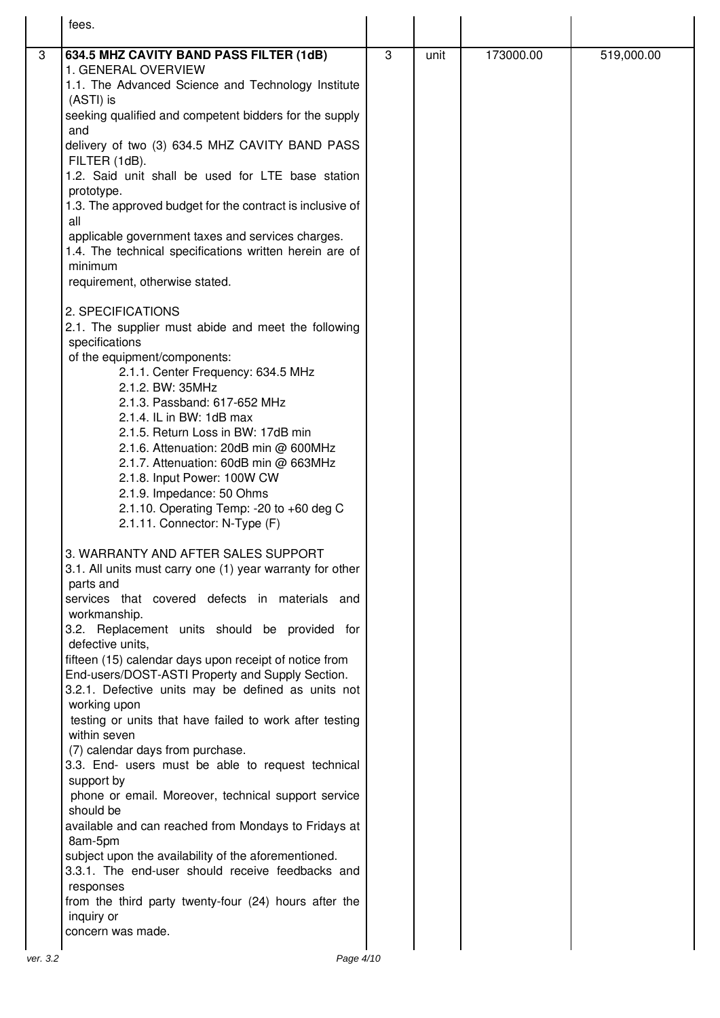|          | fees.                                                                                                      |   |      |           |            |
|----------|------------------------------------------------------------------------------------------------------------|---|------|-----------|------------|
| 3        | 634.5 MHZ CAVITY BAND PASS FILTER (1dB)                                                                    | 3 | unit | 173000.00 | 519,000.00 |
|          | 1. GENERAL OVERVIEW                                                                                        |   |      |           |            |
|          | 1.1. The Advanced Science and Technology Institute                                                         |   |      |           |            |
|          | (ASTI) is                                                                                                  |   |      |           |            |
|          | seeking qualified and competent bidders for the supply                                                     |   |      |           |            |
|          | and                                                                                                        |   |      |           |            |
|          | delivery of two (3) 634.5 MHZ CAVITY BAND PASS                                                             |   |      |           |            |
|          | FILTER (1dB).<br>1.2. Said unit shall be used for LTE base station                                         |   |      |           |            |
|          | prototype.                                                                                                 |   |      |           |            |
|          | 1.3. The approved budget for the contract is inclusive of                                                  |   |      |           |            |
|          | all                                                                                                        |   |      |           |            |
|          | applicable government taxes and services charges.                                                          |   |      |           |            |
|          | 1.4. The technical specifications written herein are of                                                    |   |      |           |            |
|          | minimum<br>requirement, otherwise stated.                                                                  |   |      |           |            |
|          |                                                                                                            |   |      |           |            |
|          | 2. SPECIFICATIONS                                                                                          |   |      |           |            |
|          | 2.1. The supplier must abide and meet the following                                                        |   |      |           |            |
|          | specifications                                                                                             |   |      |           |            |
|          | of the equipment/components:                                                                               |   |      |           |            |
|          | 2.1.1. Center Frequency: 634.5 MHz<br>2.1.2. BW: 35MHz                                                     |   |      |           |            |
|          | 2.1.3. Passband: 617-652 MHz                                                                               |   |      |           |            |
|          | 2.1.4. IL in BW: 1dB max                                                                                   |   |      |           |            |
|          | 2.1.5. Return Loss in BW: 17dB min                                                                         |   |      |           |            |
|          | 2.1.6. Attenuation: 20dB min @ 600MHz                                                                      |   |      |           |            |
|          | 2.1.7. Attenuation: 60dB min @ 663MHz                                                                      |   |      |           |            |
|          | 2.1.8. Input Power: 100W CW<br>2.1.9. Impedance: 50 Ohms                                                   |   |      |           |            |
|          | 2.1.10. Operating Temp: -20 to +60 deg C                                                                   |   |      |           |            |
|          | 2.1.11. Connector: N-Type (F)                                                                              |   |      |           |            |
|          |                                                                                                            |   |      |           |            |
|          | 3. WARRANTY AND AFTER SALES SUPPORT<br>3.1. All units must carry one (1) year warranty for other           |   |      |           |            |
|          | parts and                                                                                                  |   |      |           |            |
|          | services that covered defects in materials and                                                             |   |      |           |            |
|          | workmanship.                                                                                               |   |      |           |            |
|          | 3.2. Replacement units should be provided for                                                              |   |      |           |            |
|          | defective units,                                                                                           |   |      |           |            |
|          | fifteen (15) calendar days upon receipt of notice from<br>End-users/DOST-ASTI Property and Supply Section. |   |      |           |            |
|          | 3.2.1. Defective units may be defined as units not                                                         |   |      |           |            |
|          | working upon                                                                                               |   |      |           |            |
|          | testing or units that have failed to work after testing                                                    |   |      |           |            |
|          | within seven                                                                                               |   |      |           |            |
|          | (7) calendar days from purchase.<br>3.3. End- users must be able to request technical                      |   |      |           |            |
|          | support by                                                                                                 |   |      |           |            |
|          | phone or email. Moreover, technical support service                                                        |   |      |           |            |
|          | should be                                                                                                  |   |      |           |            |
|          | available and can reached from Mondays to Fridays at                                                       |   |      |           |            |
|          | 8am-5pm<br>subject upon the availability of the aforementioned.                                            |   |      |           |            |
|          | 3.3.1. The end-user should receive feedbacks and                                                           |   |      |           |            |
|          | responses                                                                                                  |   |      |           |            |
|          | from the third party twenty-four (24) hours after the                                                      |   |      |           |            |
|          | inquiry or                                                                                                 |   |      |           |            |
|          | concern was made.                                                                                          |   |      |           |            |
| ver. 3.2 | Page 4/10                                                                                                  |   |      |           |            |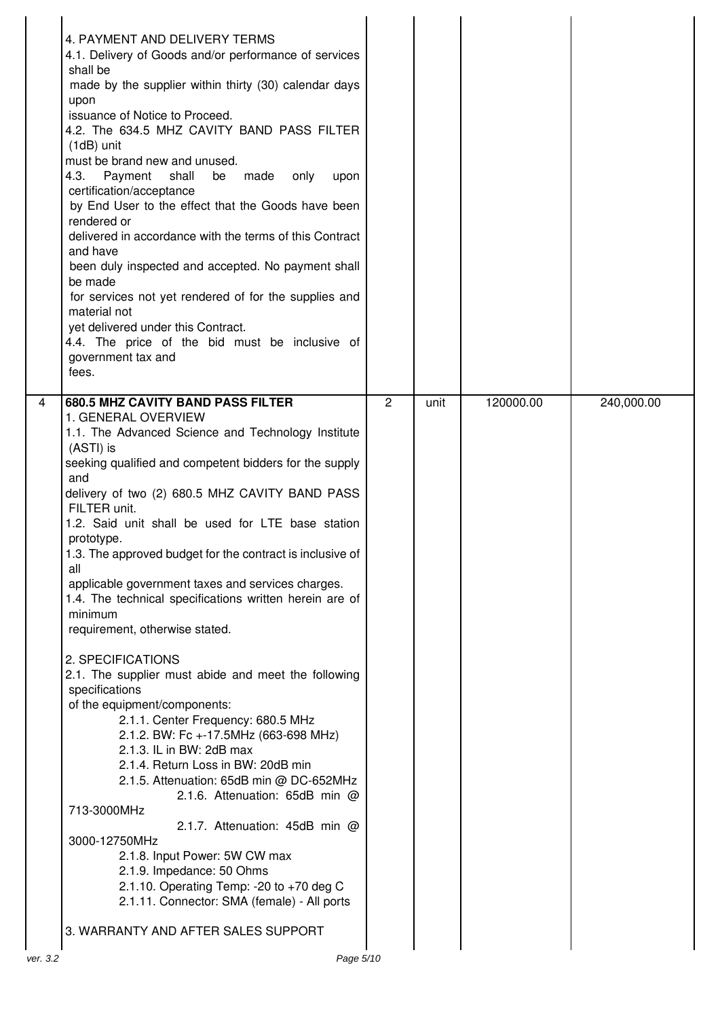|          | 4. PAYMENT AND DELIVERY TERMS<br>4.1. Delivery of Goods and/or performance of services<br>shall be<br>made by the supplier within thirty (30) calendar days<br>upon<br>issuance of Notice to Proceed.<br>4.2. The 634.5 MHZ CAVITY BAND PASS FILTER<br>(1dB) unit<br>must be brand new and unused.<br>4.3.<br>Payment<br>shall<br>be made only<br>upon<br>certification/acceptance<br>by End User to the effect that the Goods have been<br>rendered or<br>delivered in accordance with the terms of this Contract<br>and have<br>been duly inspected and accepted. No payment shall<br>be made<br>for services not yet rendered of for the supplies and<br>material not<br>yet delivered under this Contract.<br>4.4. The price of the bid must be inclusive of<br>government tax and<br>fees.                                                                                                                                                                                                                                                                                                                                                                                                          |                |      |           |            |
|----------|----------------------------------------------------------------------------------------------------------------------------------------------------------------------------------------------------------------------------------------------------------------------------------------------------------------------------------------------------------------------------------------------------------------------------------------------------------------------------------------------------------------------------------------------------------------------------------------------------------------------------------------------------------------------------------------------------------------------------------------------------------------------------------------------------------------------------------------------------------------------------------------------------------------------------------------------------------------------------------------------------------------------------------------------------------------------------------------------------------------------------------------------------------------------------------------------------------|----------------|------|-----------|------------|
| 4        | <b>680.5 MHZ CAVITY BAND PASS FILTER</b><br>1. GENERAL OVERVIEW<br>1.1. The Advanced Science and Technology Institute<br>(ASTI) is<br>seeking qualified and competent bidders for the supply<br>and<br>delivery of two (2) 680.5 MHZ CAVITY BAND PASS<br>FILTER unit.<br>1.2. Said unit shall be used for LTE base station<br>prototype.<br>1.3. The approved budget for the contract is inclusive of<br>all<br>applicable government taxes and services charges.<br>1.4. The technical specifications written herein are of<br>minimum<br>requirement, otherwise stated.<br>2. SPECIFICATIONS<br>2.1. The supplier must abide and meet the following<br>specifications<br>of the equipment/components:<br>2.1.1. Center Frequency: 680.5 MHz<br>2.1.2. BW: Fc +-17.5MHz (663-698 MHz)<br>2.1.3. IL in BW: 2dB max<br>2.1.4. Return Loss in BW: 20dB min<br>2.1.5. Attenuation: 65dB min @ DC-652MHz<br>2.1.6. Attenuation: 65dB min @<br>713-3000MHz<br>2.1.7. Attenuation: 45dB min @<br>3000-12750MHz<br>2.1.8. Input Power: 5W CW max<br>2.1.9. Impedance: 50 Ohms<br>2.1.10. Operating Temp: -20 to +70 deg C<br>2.1.11. Connector: SMA (female) - All ports<br>3. WARRANTY AND AFTER SALES SUPPORT | $\overline{2}$ | unit | 120000.00 | 240,000.00 |
| ver. 3.2 | Page 5/10                                                                                                                                                                                                                                                                                                                                                                                                                                                                                                                                                                                                                                                                                                                                                                                                                                                                                                                                                                                                                                                                                                                                                                                                |                |      |           |            |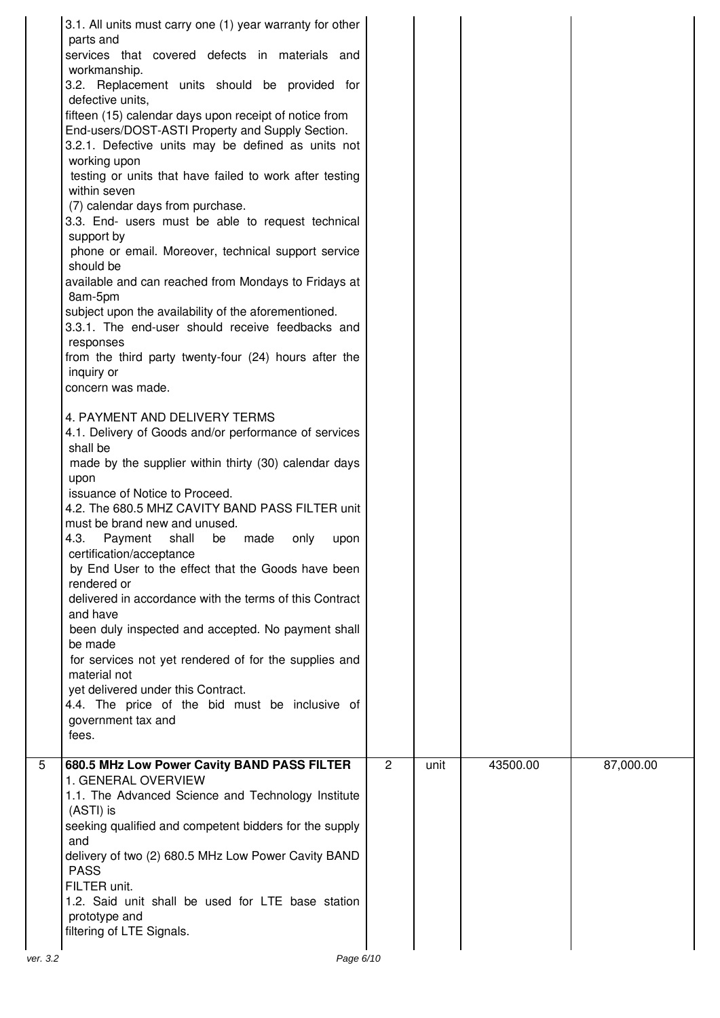|               | 3.1. All units must carry one (1) year warranty for other<br>parts and<br>services that covered defects in materials and<br>workmanship.<br>3.2. Replacement units should be provided for<br>defective units,<br>fifteen (15) calendar days upon receipt of notice from<br>End-users/DOST-ASTI Property and Supply Section.<br>3.2.1. Defective units may be defined as units not<br>working upon<br>testing or units that have failed to work after testing<br>within seven<br>(7) calendar days from purchase.<br>3.3. End- users must be able to request technical<br>support by<br>phone or email. Moreover, technical support service<br>should be<br>available and can reached from Mondays to Fridays at<br>8am-5pm<br>subject upon the availability of the aforementioned.<br>3.3.1. The end-user should receive feedbacks and<br>responses<br>from the third party twenty-four (24) hours after the<br>inquiry or<br>concern was made.<br>4. PAYMENT AND DELIVERY TERMS<br>4.1. Delivery of Goods and/or performance of services<br>shall be<br>made by the supplier within thirty (30) calendar days<br>upon<br>issuance of Notice to Proceed.<br>4.2. The 680.5 MHZ CAVITY BAND PASS FILTER unit<br>must be brand new and unused.<br>4.3.<br>Payment<br>shall<br>be<br>made<br>only<br>upon<br>certification/acceptance<br>by End User to the effect that the Goods have been<br>rendered or<br>delivered in accordance with the terms of this Contract<br>and have<br>been duly inspected and accepted. No payment shall<br>be made<br>for services not yet rendered of for the supplies and<br>material not<br>yet delivered under this Contract.<br>4.4. The price of the bid must be inclusive of<br>government tax and<br>fees. |                |      |          |           |
|---------------|-------------------------------------------------------------------------------------------------------------------------------------------------------------------------------------------------------------------------------------------------------------------------------------------------------------------------------------------------------------------------------------------------------------------------------------------------------------------------------------------------------------------------------------------------------------------------------------------------------------------------------------------------------------------------------------------------------------------------------------------------------------------------------------------------------------------------------------------------------------------------------------------------------------------------------------------------------------------------------------------------------------------------------------------------------------------------------------------------------------------------------------------------------------------------------------------------------------------------------------------------------------------------------------------------------------------------------------------------------------------------------------------------------------------------------------------------------------------------------------------------------------------------------------------------------------------------------------------------------------------------------------------------------------------------------------------------------------------------------------------------|----------------|------|----------|-----------|
| 5<br>ver. 3.2 | 680.5 MHz Low Power Cavity BAND PASS FILTER<br>1. GENERAL OVERVIEW<br>1.1. The Advanced Science and Technology Institute<br>(ASTI) is<br>seeking qualified and competent bidders for the supply<br>and<br>delivery of two (2) 680.5 MHz Low Power Cavity BAND<br><b>PASS</b><br>FILTER unit.<br>1.2. Said unit shall be used for LTE base station<br>prototype and<br>filtering of LTE Signals.<br>Page 6/10                                                                                                                                                                                                                                                                                                                                                                                                                                                                                                                                                                                                                                                                                                                                                                                                                                                                                                                                                                                                                                                                                                                                                                                                                                                                                                                                    | $\overline{2}$ | unit | 43500.00 | 87,000.00 |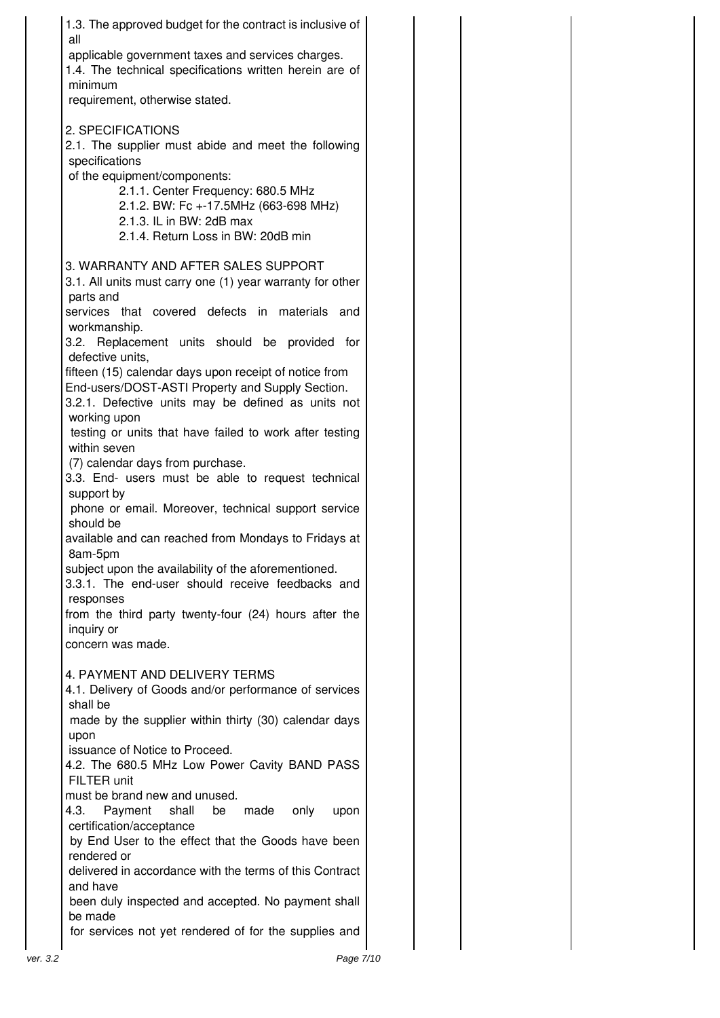| 1.3. The approved budget for the contract is inclusive of<br>all                                             |           |
|--------------------------------------------------------------------------------------------------------------|-----------|
| applicable government taxes and services charges.<br>1.4. The technical specifications written herein are of |           |
| minimum                                                                                                      |           |
| requirement, otherwise stated.                                                                               |           |
| 2. SPECIFICATIONS                                                                                            |           |
| 2.1. The supplier must abide and meet the following<br>specifications                                        |           |
| of the equipment/components:                                                                                 |           |
| 2.1.1. Center Frequency: 680.5 MHz<br>2.1.2. BW: Fc +-17.5MHz (663-698 MHz)                                  |           |
| 2.1.3. IL in BW: 2dB max                                                                                     |           |
| 2.1.4. Return Loss in BW: 20dB min                                                                           |           |
| 3. WARRANTY AND AFTER SALES SUPPORT                                                                          |           |
| 3.1. All units must carry one (1) year warranty for other<br>parts and                                       |           |
| services that covered defects in materials and                                                               |           |
| workmanship.<br>3.2. Replacement units should be provided                                                    | for       |
| defective units,                                                                                             |           |
| fifteen (15) calendar days upon receipt of notice from                                                       |           |
| End-users/DOST-ASTI Property and Supply Section.<br>3.2.1. Defective units may be defined as units not       |           |
| working upon                                                                                                 |           |
| testing or units that have failed to work after testing<br>within seven                                      |           |
| (7) calendar days from purchase.                                                                             |           |
| 3.3. End- users must be able to request technical<br>support by                                              |           |
| phone or email. Moreover, technical support service<br>should be                                             |           |
| available and can reached from Mondays to Fridays at<br>8am-5pm                                              |           |
| subject upon the availability of the aforementioned.                                                         |           |
| 3.3.1. The end-user should receive feedbacks and<br>responses                                                |           |
| from the third party twenty-four (24) hours after the                                                        |           |
| inquiry or<br>concern was made.                                                                              |           |
|                                                                                                              |           |
| 4. PAYMENT AND DELIVERY TERMS<br>4.1. Delivery of Goods and/or performance of services                       |           |
| shall be                                                                                                     |           |
| made by the supplier within thirty (30) calendar days<br>upon                                                |           |
| issuance of Notice to Proceed.                                                                               |           |
| 4.2. The 680.5 MHz Low Power Cavity BAND PASS<br>FILTER unit                                                 |           |
| must be brand new and unused.                                                                                |           |
| 4.3.<br>Payment<br>shall<br>be<br>made<br>only                                                               | upon      |
| certification/acceptance<br>by End User to the effect that the Goods have been                               |           |
| rendered or                                                                                                  |           |
| delivered in accordance with the terms of this Contract<br>and have                                          |           |
| been duly inspected and accepted. No payment shall<br>be made                                                |           |
| for services not yet rendered of for the supplies and                                                        |           |
| ver. 3.2                                                                                                     | Page 7/10 |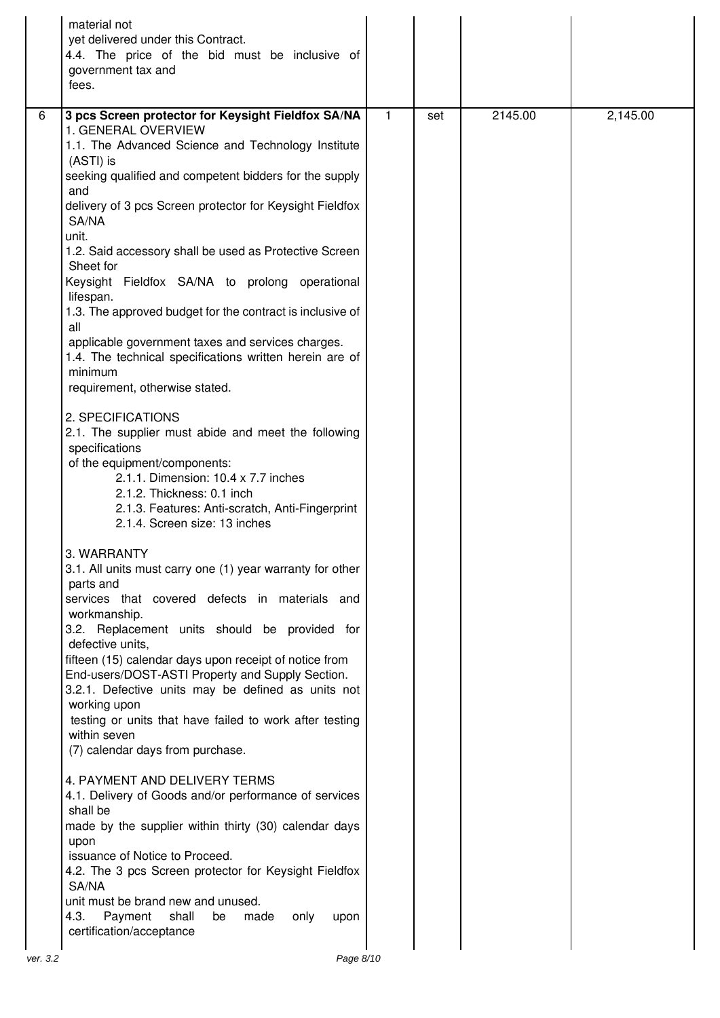|          | material not<br>yet delivered under this Contract.<br>4.4. The price of the bid must be inclusive of<br>government tax and<br>fees.                                                                                                                                                                                                                                                                                                                                                                                                                                                                                                                                                                                                                                                                                                                                                                                                                       |              |     |         |          |
|----------|-----------------------------------------------------------------------------------------------------------------------------------------------------------------------------------------------------------------------------------------------------------------------------------------------------------------------------------------------------------------------------------------------------------------------------------------------------------------------------------------------------------------------------------------------------------------------------------------------------------------------------------------------------------------------------------------------------------------------------------------------------------------------------------------------------------------------------------------------------------------------------------------------------------------------------------------------------------|--------------|-----|---------|----------|
| 6        | 3 pcs Screen protector for Keysight Fieldfox SA/NA<br>1. GENERAL OVERVIEW<br>1.1. The Advanced Science and Technology Institute<br>(ASTI) is<br>seeking qualified and competent bidders for the supply<br>and<br>delivery of 3 pcs Screen protector for Keysight Fieldfox<br>SA/NA<br>unit.<br>1.2. Said accessory shall be used as Protective Screen<br>Sheet for<br>Keysight Fieldfox SA/NA to prolong operational<br>lifespan.<br>1.3. The approved budget for the contract is inclusive of<br>all<br>applicable government taxes and services charges.<br>1.4. The technical specifications written herein are of<br>minimum<br>requirement, otherwise stated.<br>2. SPECIFICATIONS<br>2.1. The supplier must abide and meet the following<br>specifications<br>of the equipment/components:<br>2.1.1. Dimension: 10.4 x 7.7 inches<br>2.1.2. Thickness: 0.1 inch<br>2.1.3. Features: Anti-scratch, Anti-Fingerprint<br>2.1.4. Screen size: 13 inches | $\mathbf{1}$ | set | 2145.00 | 2,145.00 |
|          | 3. WARRANTY<br>3.1. All units must carry one (1) year warranty for other<br>parts and<br>services that covered defects in materials and<br>workmanship.<br>3.2. Replacement units should be provided for<br>defective units,<br>fifteen (15) calendar days upon receipt of notice from<br>End-users/DOST-ASTI Property and Supply Section.<br>3.2.1. Defective units may be defined as units not<br>working upon<br>testing or units that have failed to work after testing<br>within seven<br>(7) calendar days from purchase.<br>4. PAYMENT AND DELIVERY TERMS<br>4.1. Delivery of Goods and/or performance of services<br>shall be<br>made by the supplier within thirty (30) calendar days<br>upon<br>issuance of Notice to Proceed.<br>4.2. The 3 pcs Screen protector for Keysight Fieldfox<br>SA/NA<br>unit must be brand new and unused.<br>4.3.<br>Payment<br>shall<br>made<br>only<br>be<br>upon<br>certification/acceptance                    |              |     |         |          |
| ver. 3.2 | Page 8/10                                                                                                                                                                                                                                                                                                                                                                                                                                                                                                                                                                                                                                                                                                                                                                                                                                                                                                                                                 |              |     |         |          |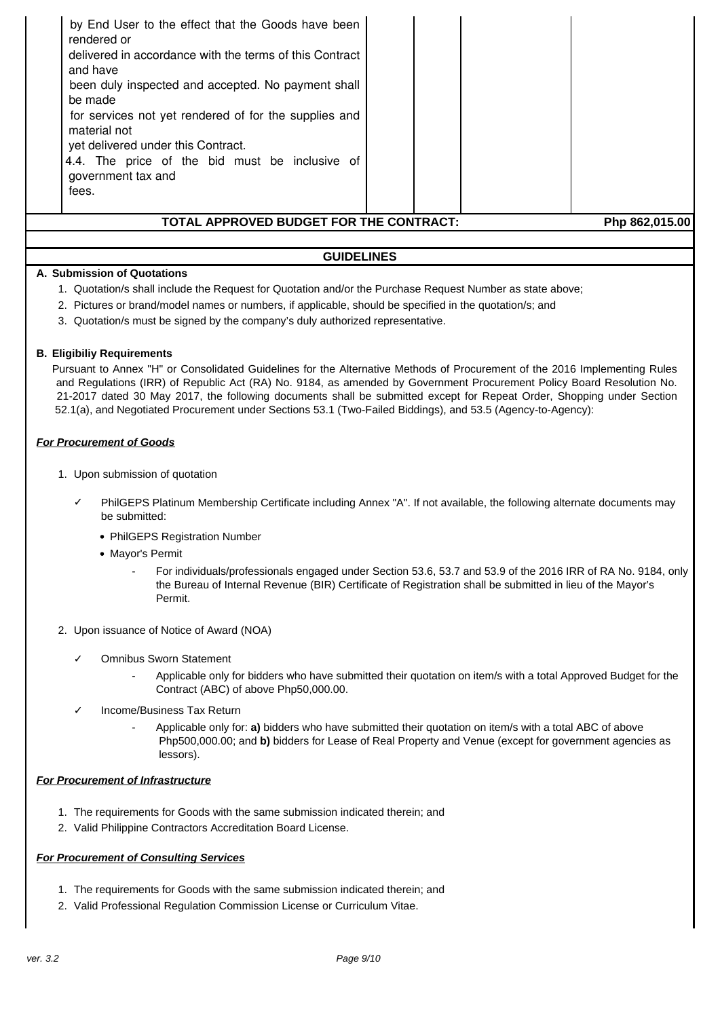| by End User to the effect that the Goods have been<br>rendered or<br>delivered in accordance with the terms of this Contract<br>and have<br>been duly inspected and accepted. No payment shall<br>be made<br>for services not yet rendered of for the supplies and<br>material not<br>yet delivered under this Contract.<br>4.4. The price of the bid must be inclusive of<br>government tax and<br>fees. |  |  |                |  |
|-----------------------------------------------------------------------------------------------------------------------------------------------------------------------------------------------------------------------------------------------------------------------------------------------------------------------------------------------------------------------------------------------------------|--|--|----------------|--|
| TOTAL APPROVED BUDGET FOR THE CONTRACT:                                                                                                                                                                                                                                                                                                                                                                   |  |  | Php 862,015.00 |  |
| <b>GUIDELINES</b>                                                                                                                                                                                                                                                                                                                                                                                         |  |  |                |  |

#### **A. Submission of Quotations**

- 1. Quotation/s shall include the Request for Quotation and/or the Purchase Request Number as state above;
- 2. Pictures or brand/model names or numbers, if applicable, should be specified in the quotation/s; and
- 3. Quotation/s must be signed by the company's duly authorized representative.

#### **B. Eligibiliy Requirements**

Pursuant to Annex "H" or Consolidated Guidelines for the Alternative Methods of Procurement of the 2016 Implementing Rules and Regulations (IRR) of Republic Act (RA) No. 9184, as amended by Government Procurement Policy Board Resolution No. 21-2017 dated 30 May 2017, the following documents shall be submitted except for Repeat Order, Shopping under Section 52.1(a), and Negotiated Procurement under Sections 53.1 (Two-Failed Biddings), and 53.5 (Agency-to-Agency):

#### **For Procurement of Goods**

- 1. Upon submission of quotation
	- PhilGEPS Platinum Membership Certificate including Annex "A". If not available, the following alternate documents may be submitted:
		- PhilGEPS Registration Number
		- Mayor's Permit
			- For individuals/professionals engaged under Section 53.6, 53.7 and 53.9 of the 2016 IRR of RA No. 9184, only the Bureau of Internal Revenue (BIR) Certificate of Registration shall be submitted in lieu of the Mayor's Permit.
- 2. Upon issuance of Notice of Award (NOA)
	- ✓ Omnibus Sworn Statement
		- Applicable only for bidders who have submitted their quotation on item/s with a total Approved Budget for the Contract (ABC) of above Php50,000.00.
	- Income/Business Tax Return
		- Applicable only for: **a)** bidders who have submitted their quotation on item/s with a total ABC of above Php500,000.00; and **b)** bidders for Lease of Real Property and Venue (except for government agencies as lessors).

#### **For Procurement of Infrastructure**

- 1. The requirements for Goods with the same submission indicated therein; and
- 2. Valid Philippine Contractors Accreditation Board License.

#### **For Procurement of Consulting Services**

- 1. The requirements for Goods with the same submission indicated therein; and
- 2. Valid Professional Regulation Commission License or Curriculum Vitae.